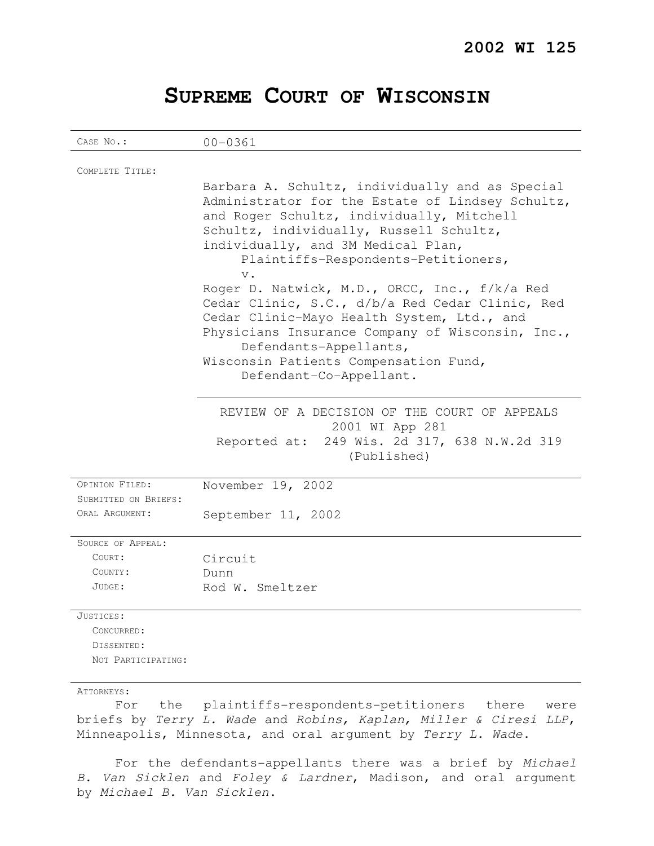## **SUPREME COURT OF WISCONSIN**

| CASE No.:                                                                                                                                                                                                       | $00 - 0361$                                                                                                                                                                                                                                                                                      |
|-----------------------------------------------------------------------------------------------------------------------------------------------------------------------------------------------------------------|--------------------------------------------------------------------------------------------------------------------------------------------------------------------------------------------------------------------------------------------------------------------------------------------------|
| COMPLETE TITLE:                                                                                                                                                                                                 | Barbara A. Schultz, individually and as Special<br>Administrator for the Estate of Lindsey Schultz,<br>and Roger Schultz, individually, Mitchell                                                                                                                                                 |
|                                                                                                                                                                                                                 | Schultz, individually, Russell Schultz,<br>individually, and 3M Medical Plan,<br>Plaintiffs-Respondents-Petitioners,<br>$V$ .                                                                                                                                                                    |
|                                                                                                                                                                                                                 | Roger D. Natwick, M.D., ORCC, Inc., f/k/a Red<br>Cedar Clinic, S.C., d/b/a Red Cedar Clinic, Red<br>Cedar Clinic-Mayo Health System, Ltd., and<br>Physicians Insurance Company of Wisconsin, Inc.,<br>Defendants-Appellants,<br>Wisconsin Patients Compensation Fund,<br>Defendant-Co-Appellant. |
|                                                                                                                                                                                                                 | REVIEW OF A DECISION OF THE COURT OF APPEALS<br>2001 WI App 281<br>Reported at: 249 Wis. 2d 317, 638 N.W.2d 319<br>(Published)                                                                                                                                                                   |
| OPINION FILED:<br>SUBMITTED ON BRIEFS:                                                                                                                                                                          | November 19, 2002                                                                                                                                                                                                                                                                                |
| ORAL ARGUMENT:                                                                                                                                                                                                  | September 11, 2002                                                                                                                                                                                                                                                                               |
| SOURCE OF APPEAL:<br>COURT:<br>COUNTY:<br>JUDGE:                                                                                                                                                                | Circuit<br>Dunn<br>Rod W. Smeltzer                                                                                                                                                                                                                                                               |
| JUSTICES:<br>CONCURRED:<br>DISSENTED:<br>NOT PARTICIPATING:                                                                                                                                                     |                                                                                                                                                                                                                                                                                                  |
| ATTORNEYS:<br>plaintiffs-respondents-petitioners there<br>the<br>For<br>were<br>briefs by Terry L. Wade and Robins, Kaplan, Miller & Ciresi LLP,<br>Minneapolis, Minnesota, and oral argument by Terry L. Wade. |                                                                                                                                                                                                                                                                                                  |

For the defendants-appellants there was a brief by Michael B. Van Sicklen and Foley & Lardner, Madison, and oral argument by Michael B. Van Sicklen.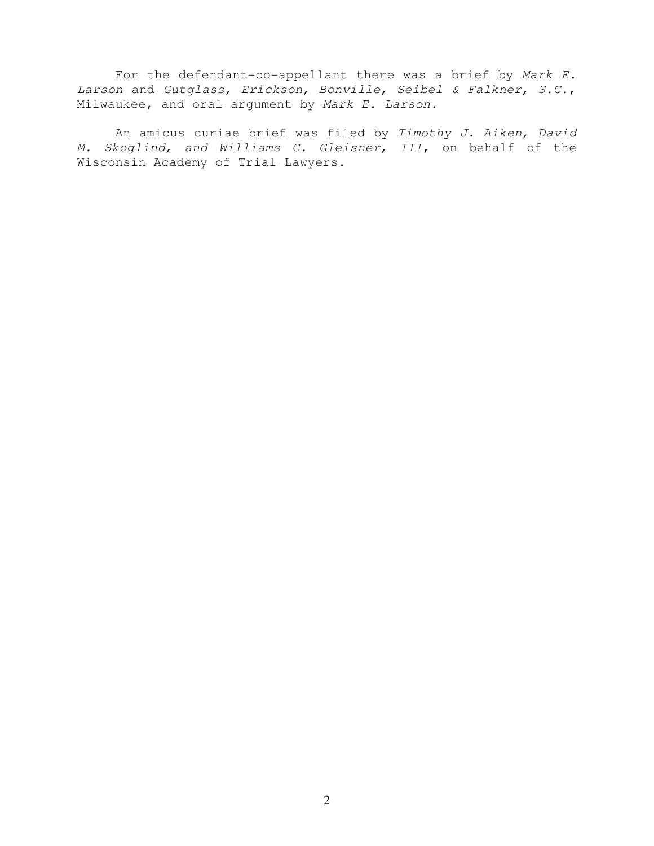For the defendant-co-appellant there was a brief by Mark E. Larson and Gutglass, Erickson, Bonville, Seibel & Falkner, S.C., Milwaukee, and oral argument by Mark E. Larson.

An amicus curiae brief was filed by Timothy J. Aiken, David M. Skoglind, and Williams C. Gleisner, III, on behalf of the Wisconsin Academy of Trial Lawyers.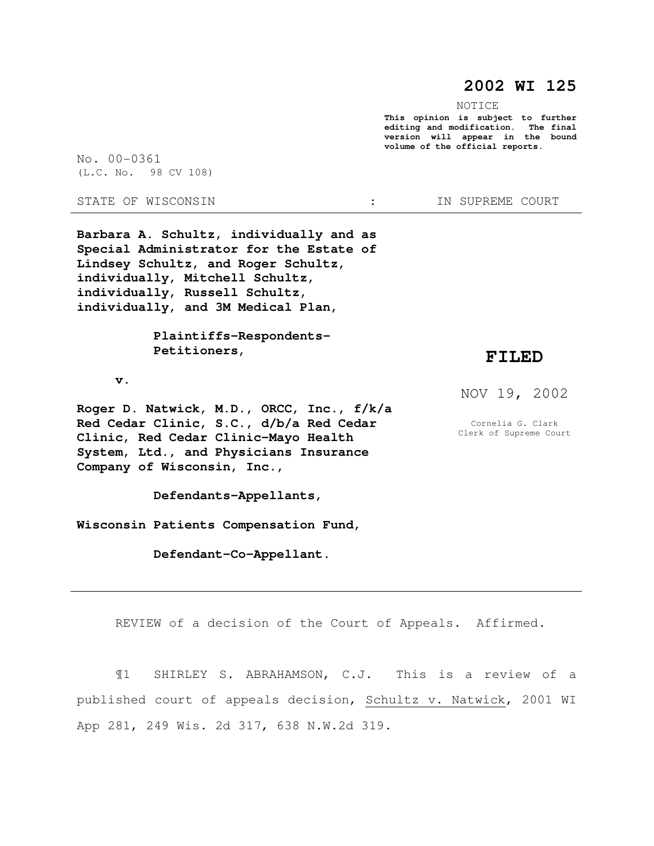## **2002 WI 125**

NOTICE

**This opinion is subject to further editing and modification. The final version will appear in the bound volume of the official reports.** 

No. 00-0361 (L.C. No. 98 CV 108)

STATE OF WISCONSIN  $\cdot$  : IN SUPREME COURT

**Barbara A. Schultz, individually and as Special Administrator for the Estate of Lindsey Schultz, and Roger Schultz, individually, Mitchell Schultz, individually, Russell Schultz, individually, and 3M Medical Plan,** 

> **Plaintiffs-Respondents- Petitioners,**

 **v.** 

**Roger D. Natwick, M.D., ORCC, Inc., f/k/a Red Cedar Clinic, S.C., d/b/a Red Cedar Clinic, Red Cedar Clinic-Mayo Health System, Ltd., and Physicians Insurance Company of Wisconsin, Inc.,** 

 **Defendants-Appellants,** 

**Wisconsin Patients Compensation Fund,** 

 **Defendant-Co-Appellant.** 

**FILED** 

NOV 19, 2002

Cornelia G. Clark Clerk of Supreme Court

REVIEW of a decision of the Court of Appeals. Affirmed.

¶1 SHIRLEY S. ABRAHAMSON, C.J. This is a review of a published court of appeals decision, Schultz v. Natwick, 2001 WI App 281, 249 Wis. 2d 317, 638 N.W.2d 319.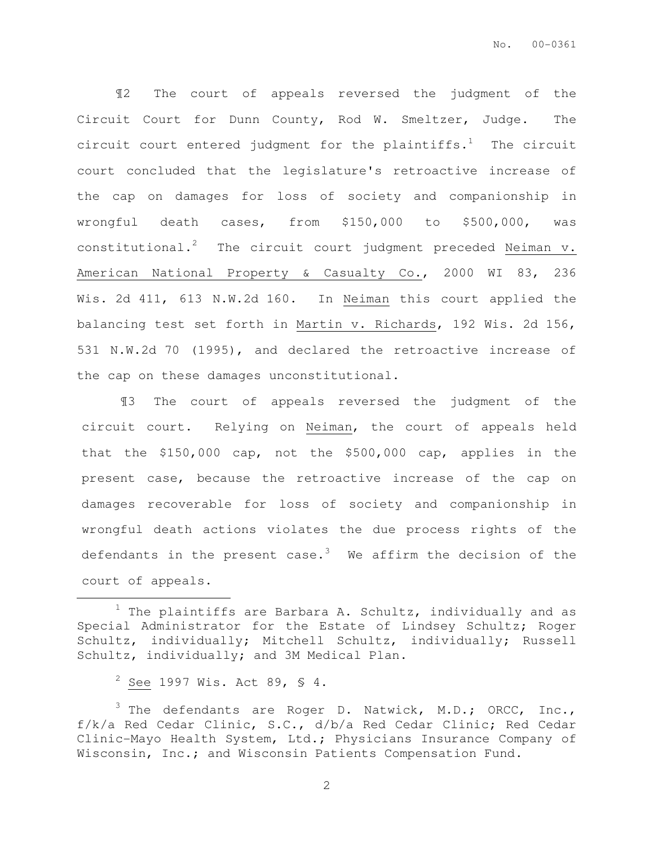¶2 The court of appeals reversed the judgment of the Circuit Court for Dunn County, Rod W. Smeltzer, Judge. The circuit court entered judgment for the plaintiffs.<sup>1</sup> The circuit court concluded that the legislature's retroactive increase of the cap on damages for loss of society and companionship in wrongful death cases, from \$150,000 to \$500,000, was constitutional.<sup>2</sup> The circuit court judgment preceded Neiman v. American National Property & Casualty Co., 2000 WI 83, 236 Wis. 2d 411, 613 N.W.2d 160. In Neiman this court applied the balancing test set forth in Martin v. Richards, 192 Wis. 2d 156, 531 N.W.2d 70 (1995), and declared the retroactive increase of the cap on these damages unconstitutional.

¶3 The court of appeals reversed the judgment of the circuit court. Relying on Neiman, the court of appeals held that the \$150,000 cap, not the \$500,000 cap, applies in the present case, because the retroactive increase of the cap on damages recoverable for loss of society and companionship in wrongful death actions violates the due process rights of the defendants in the present case. $3$  We affirm the decision of the court of appeals.

 $\overline{a}$ 

 $1$  The plaintiffs are Barbara A. Schultz, individually and as Special Administrator for the Estate of Lindsey Schultz; Roger Schultz, individually; Mitchell Schultz, individually; Russell Schultz, individually; and 3M Medical Plan.

 $2$  See 1997 Wis. Act 89, § 4.

 $\beta$  The defendants are Roger D. Natwick, M.D.; ORCC, Inc., f/k/a Red Cedar Clinic, S.C., d/b/a Red Cedar Clinic; Red Cedar Clinic-Mayo Health System, Ltd.; Physicians Insurance Company of Wisconsin, Inc.; and Wisconsin Patients Compensation Fund.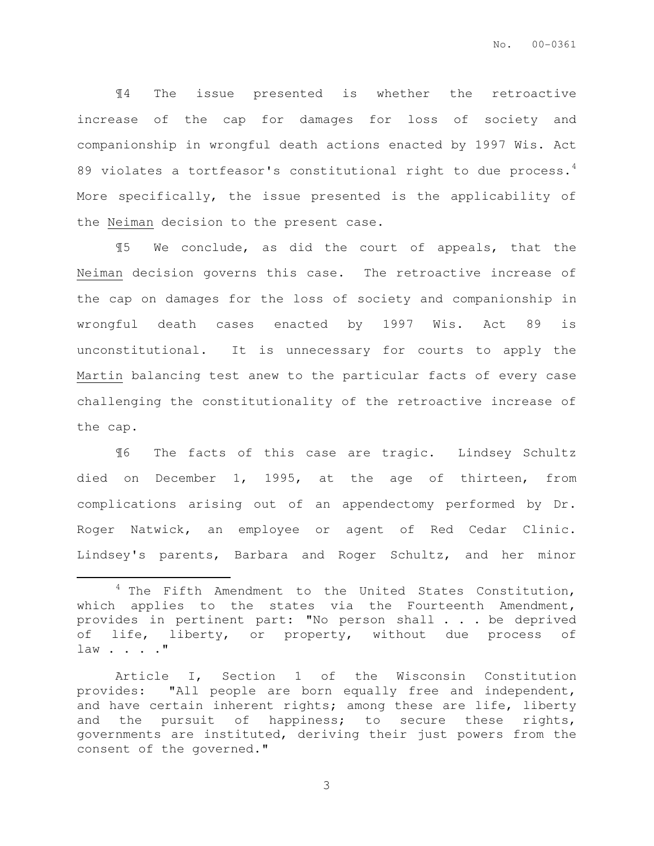¶4 The issue presented is whether the retroactive increase of the cap for damages for loss of society and companionship in wrongful death actions enacted by 1997 Wis. Act 89 violates a tortfeasor's constitutional right to due process.<sup>4</sup> More specifically, the issue presented is the applicability of the Neiman decision to the present case.

¶5 We conclude, as did the court of appeals, that the Neiman decision governs this case. The retroactive increase of the cap on damages for the loss of society and companionship in wrongful death cases enacted by 1997 Wis. Act 89 is unconstitutional. It is unnecessary for courts to apply the Martin balancing test anew to the particular facts of every case challenging the constitutionality of the retroactive increase of the cap.

¶6 The facts of this case are tragic. Lindsey Schultz died on December 1, 1995, at the age of thirteen, from complications arising out of an appendectomy performed by Dr. Roger Natwick, an employee or agent of Red Cedar Clinic. Lindsey's parents, Barbara and Roger Schultz, and her minor

 $\overline{a}$ 

 $4$  The Fifth Amendment to the United States Constitution, which applies to the states via the Fourteenth Amendment, provides in pertinent part: "No person shall . . . be deprived of life, liberty, or property, without due process of law . . . . "

Article I, Section 1 of the Wisconsin Constitution provides: "All people are born equally free and independent, and have certain inherent rights; among these are life, liberty and the pursuit of happiness; to secure these rights, governments are instituted, deriving their just powers from the consent of the governed."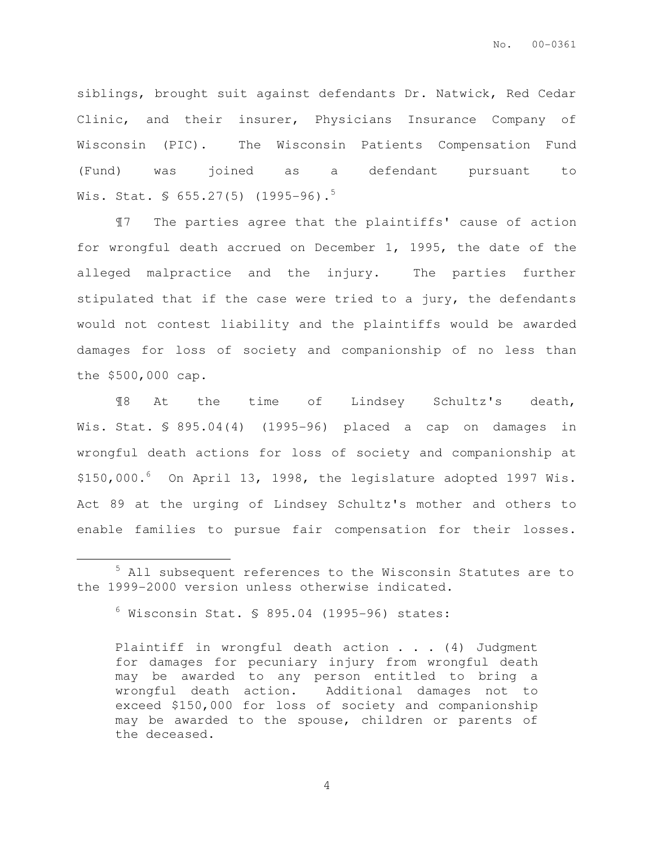siblings, brought suit against defendants Dr. Natwick, Red Cedar Clinic, and their insurer, Physicians Insurance Company of Wisconsin (PIC). The Wisconsin Patients Compensation Fund (Fund) was joined as a defendant pursuant to Wis. Stat. §  $655.27(5)$  (1995-96).<sup>5</sup>

¶7 The parties agree that the plaintiffs' cause of action for wrongful death accrued on December 1, 1995, the date of the alleged malpractice and the injury. The parties further stipulated that if the case were tried to a jury, the defendants would not contest liability and the plaintiffs would be awarded damages for loss of society and companionship of no less than the \$500,000 cap.

¶8 At the time of Lindsey Schultz's death, Wis. Stat. § 895.04(4) (1995-96) placed a cap on damages in wrongful death actions for loss of society and companionship at  $$150,000.^6$  On April 13, 1998, the legislature adopted 1997 Wis. Act 89 at the urging of Lindsey Schultz's mother and others to enable families to pursue fair compensation for their losses.

 $\overline{a}$ 

<sup>&</sup>lt;sup>5</sup> All subsequent references to the Wisconsin Statutes are to the 1999-2000 version unless otherwise indicated.

 $6$  Wisconsin Stat. § 895.04 (1995-96) states:

Plaintiff in wrongful death action . . . (4) Judgment for damages for pecuniary injury from wrongful death may be awarded to any person entitled to bring a wrongful death action. Additional damages not to exceed \$150,000 for loss of society and companionship may be awarded to the spouse, children or parents of the deceased.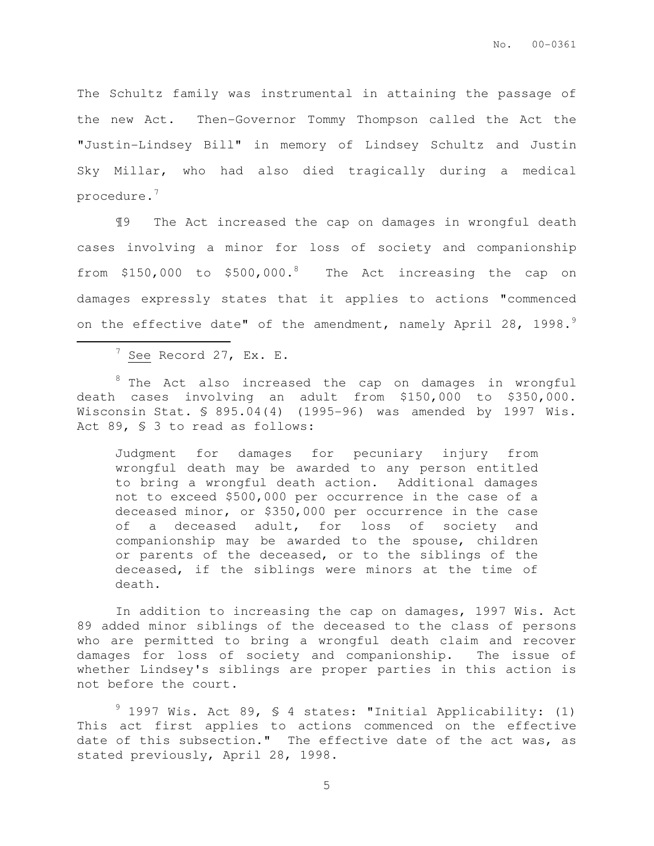The Schultz family was instrumental in attaining the passage of the new Act. Then-Governor Tommy Thompson called the Act the "Justin-Lindsey Bill" in memory of Lindsey Schultz and Justin Sky Millar, who had also died tragically during a medical procedure.<sup>7</sup>

¶9 The Act increased the cap on damages in wrongful death cases involving a minor for loss of society and companionship from \$150,000 to \$500,000.<sup>8</sup> The Act increasing the cap on damages expressly states that it applies to actions "commenced on the effective date" of the amendment, namely April 28, 1998.

 $^7$  See Record 27, Ex. E.

 $\overline{a}$ 

<sup>8</sup> The Act also increased the cap on damages in wrongful death cases involving an adult from \$150,000 to \$350,000. Wisconsin Stat. § 895.04(4) (1995-96) was amended by 1997 Wis. Act 89, § 3 to read as follows:

Judgment for damages for pecuniary injury from wrongful death may be awarded to any person entitled to bring a wrongful death action. Additional damages not to exceed \$500,000 per occurrence in the case of a deceased minor, or \$350,000 per occurrence in the case of a deceased adult, for loss of society and companionship may be awarded to the spouse, children or parents of the deceased, or to the siblings of the deceased, if the siblings were minors at the time of death.

In addition to increasing the cap on damages, 1997 Wis. Act 89 added minor siblings of the deceased to the class of persons who are permitted to bring a wrongful death claim and recover damages for loss of society and companionship. The issue of whether Lindsey's siblings are proper parties in this action is not before the court.

 $9$  1997 Wis. Act 89, § 4 states: "Initial Applicability: (1) This act first applies to actions commenced on the effective date of this subsection." The effective date of the act was, as stated previously, April 28, 1998.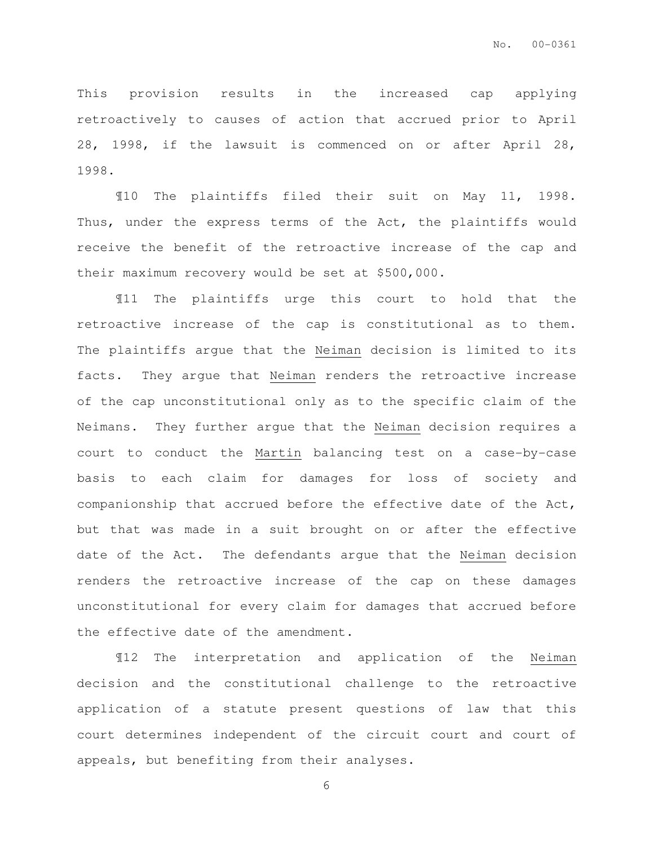This provision results in the increased cap applying retroactively to causes of action that accrued prior to April 28, 1998, if the lawsuit is commenced on or after April 28, 1998.

¶10 The plaintiffs filed their suit on May 11, 1998. Thus, under the express terms of the Act, the plaintiffs would receive the benefit of the retroactive increase of the cap and their maximum recovery would be set at \$500,000.

¶11 The plaintiffs urge this court to hold that the retroactive increase of the cap is constitutional as to them. The plaintiffs argue that the Neiman decision is limited to its facts. They argue that Neiman renders the retroactive increase of the cap unconstitutional only as to the specific claim of the Neimans. They further argue that the Neiman decision requires a court to conduct the Martin balancing test on a case-by-case basis to each claim for damages for loss of society and companionship that accrued before the effective date of the Act, but that was made in a suit brought on or after the effective date of the Act. The defendants argue that the Neiman decision renders the retroactive increase of the cap on these damages unconstitutional for every claim for damages that accrued before the effective date of the amendment.

¶12 The interpretation and application of the Neiman decision and the constitutional challenge to the retroactive application of a statute present questions of law that this court determines independent of the circuit court and court of appeals, but benefiting from their analyses.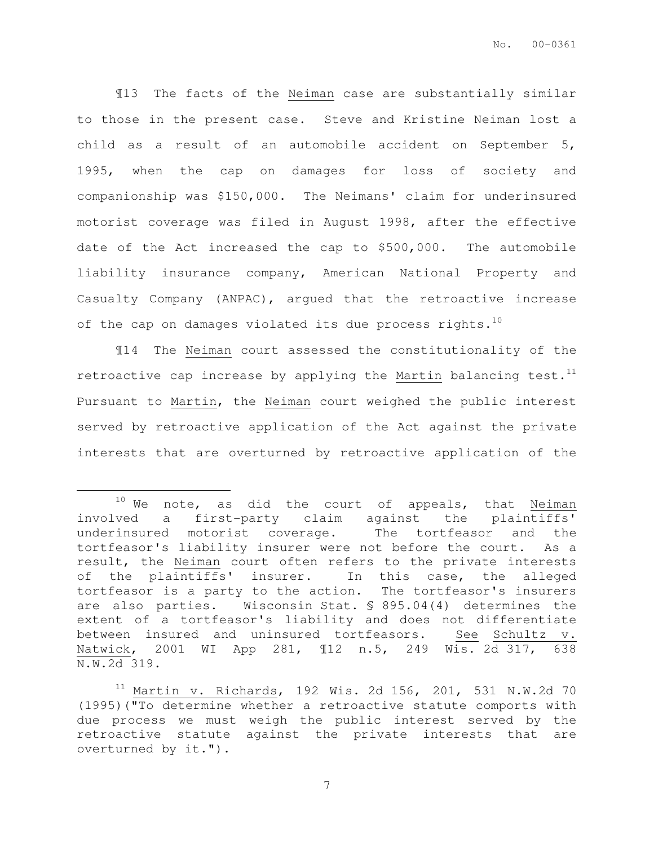¶13 The facts of the Neiman case are substantially similar to those in the present case. Steve and Kristine Neiman lost a child as a result of an automobile accident on September 5, 1995, when the cap on damages for loss of society and companionship was \$150,000. The Neimans' claim for underinsured motorist coverage was filed in August 1998, after the effective date of the Act increased the cap to \$500,000. The automobile liability insurance company, American National Property and Casualty Company (ANPAC), argued that the retroactive increase of the cap on damages violated its due process rights. $10$ 

¶14 The Neiman court assessed the constitutionality of the retroactive cap increase by applying the Martin balancing test. $<sup>11</sup>$ </sup> Pursuant to Martin, the Neiman court weighed the public interest served by retroactive application of the Act against the private interests that are overturned by retroactive application of the

 $\overline{a}$ 

 $10$  We note, as did the court of appeals, that Neiman involved a first-party claim against the plaintiffs' underinsured motorist coverage. The tortfeasor and the tortfeasor's liability insurer were not before the court. As a result, the Neiman court often refers to the private interests of the plaintiffs' insurer. In this case, the alleged tortfeasor is a party to the action. The tortfeasor's insurers are also parties. Wisconsin Stat. § 895.04(4) determines the extent of a tortfeasor's liability and does not differentiate between insured and uninsured tortfeasors. See Schultz v. Natwick, 2001 WI App 281, ¶12 n.5, 249 Wis. 2d 317, 638 N.W.2d 319.

 $11$  Martin v. Richards, 192 Wis. 2d 156, 201, 531 N.W.2d 70 (1995)("To determine whether a retroactive statute comports with due process we must weigh the public interest served by the retroactive statute against the private interests that are overturned by it.").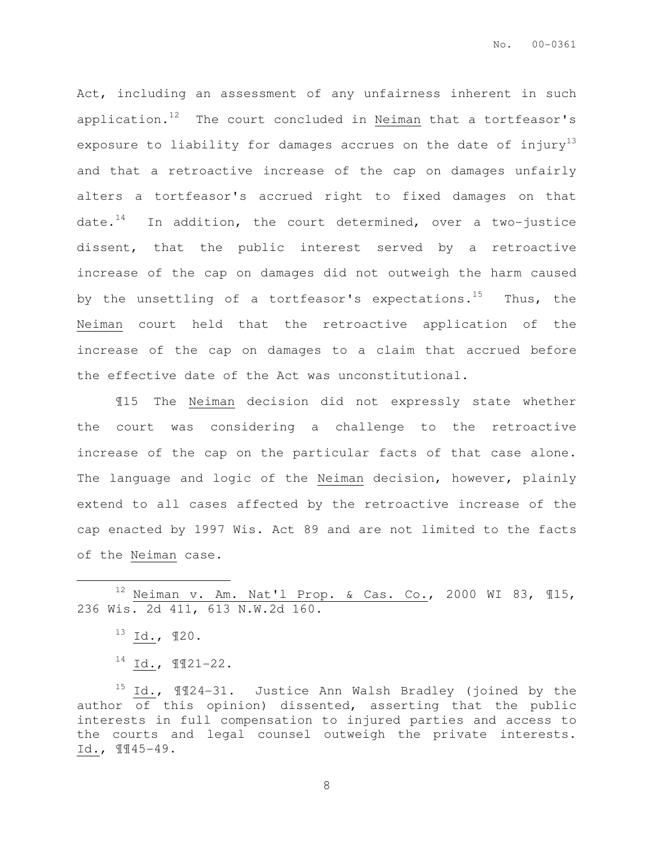Act, including an assessment of any unfairness inherent in such application.<sup>12</sup> The court concluded in Neiman that a tortfeasor's exposure to liability for damages accrues on the date of injury<sup>13</sup> and that a retroactive increase of the cap on damages unfairly alters a tortfeasor's accrued right to fixed damages on that date.<sup>14</sup> In addition, the court determined, over a two-justice dissent, that the public interest served by a retroactive increase of the cap on damages did not outweigh the harm caused by the unsettling of a tortfeasor's expectations.<sup>15</sup> Thus, the Neiman court held that the retroactive application of the increase of the cap on damages to a claim that accrued before the effective date of the Act was unconstitutional.

¶15 The Neiman decision did not expressly state whether the court was considering a challenge to the retroactive increase of the cap on the particular facts of that case alone. The language and logic of the Neiman decision, however, plainly extend to all cases affected by the retroactive increase of the cap enacted by 1997 Wis. Act 89 and are not limited to the facts of the Neiman case.

 $12$  Neiman v. Am. Nat'l Prop. & Cas. Co., 2000 WI 83, 115, 236 Wis. 2d 411, 613 N.W.2d 160.

 $\overline{a}$ 

<sup>15</sup> Id., ¶¶24-31. Justice Ann Walsh Bradley (joined by the author of this opinion) dissented, asserting that the public interests in full compensation to injured parties and access to the courts and legal counsel outweigh the private interests. Id., ¶¶45-49.

 $^{13}$  Id.,  $120$ .

 $14$  Id.,  $\P$  $I$ 21-22.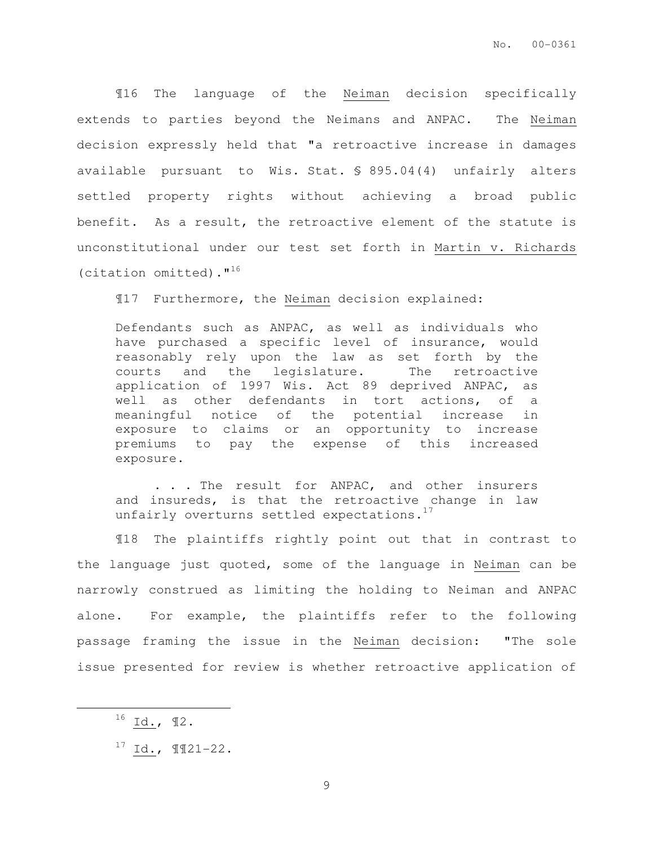¶16 The language of the Neiman decision specifically extends to parties beyond the Neimans and ANPAC. The Neiman decision expressly held that "a retroactive increase in damages available pursuant to Wis. Stat. § 895.04(4) unfairly alters settled property rights without achieving a broad public benefit. As a result, the retroactive element of the statute is unconstitutional under our test set forth in Martin v. Richards (citation omitted). $1^{16}$ 

¶17 Furthermore, the Neiman decision explained:

Defendants such as ANPAC, as well as individuals who have purchased a specific level of insurance, would reasonably rely upon the law as set forth by the courts and the legislature. The retroactive application of 1997 Wis. Act 89 deprived ANPAC, as well as other defendants in tort actions, of a meaningful notice of the potential increase in exposure to claims or an opportunity to increase premiums to pay the expense of this increased exposure.

. . . The result for ANPAC, and other insurers and insureds, is that the retroactive change in law unfairly overturns settled expectations.<sup>17</sup>

¶18 The plaintiffs rightly point out that in contrast to the language just quoted, some of the language in Neiman can be narrowly construed as limiting the holding to Neiman and ANPAC alone. For example, the plaintiffs refer to the following passage framing the issue in the Neiman decision: "The sole issue presented for review is whether retroactive application of

 $\overline{a}$ 

 $^{16}$  Id.,  $^{92}$ .

<sup>17</sup> Id., ¶¶21-22.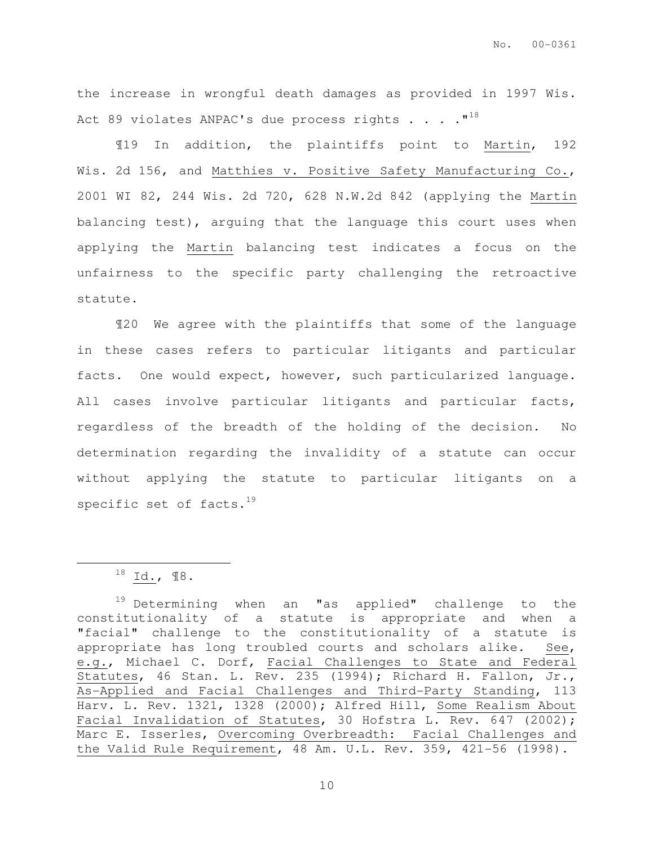the increase in wrongful death damages as provided in 1997 Wis. Act 89 violates ANPAC's due process rights . . . .  $"$ <sup>18</sup>

¶19 In addition, the plaintiffs point to Martin, 192 Wis. 2d 156, and Matthies v. Positive Safety Manufacturing Co., 2001 WI 82, 244 Wis. 2d 720, 628 N.W.2d 842 (applying the Martin balancing test), arguing that the language this court uses when applying the Martin balancing test indicates a focus on the unfairness to the specific party challenging the retroactive statute.

¶20 We agree with the plaintiffs that some of the language in these cases refers to particular litigants and particular facts. One would expect, however, such particularized language. All cases involve particular litigants and particular facts, regardless of the breadth of the holding of the decision. No determination regarding the invalidity of a statute can occur without applying the statute to particular litigants on a specific set of facts. $19$ 

 $\overline{a}$ 

 $^{18}$  Id.,  $18$ .

<sup>19</sup> Determining when an "as applied" challenge to the constitutionality of a statute is appropriate and when a "facial" challenge to the constitutionality of a statute is appropriate has long troubled courts and scholars alike. See, e.g., Michael C. Dorf, Facial Challenges to State and Federal Statutes, 46 Stan. L. Rev. 235 (1994); Richard H. Fallon, Jr., As-Applied and Facial Challenges and Third-Party Standing, 113 Harv. L. Rev. 1321, 1328 (2000); Alfred Hill, Some Realism About Facial Invalidation of Statutes, 30 Hofstra L. Rev. 647 (2002); Marc E. Isserles, Overcoming Overbreadth: Facial Challenges and the Valid Rule Requirement, 48 Am. U.L. Rev. 359, 421-56 (1998).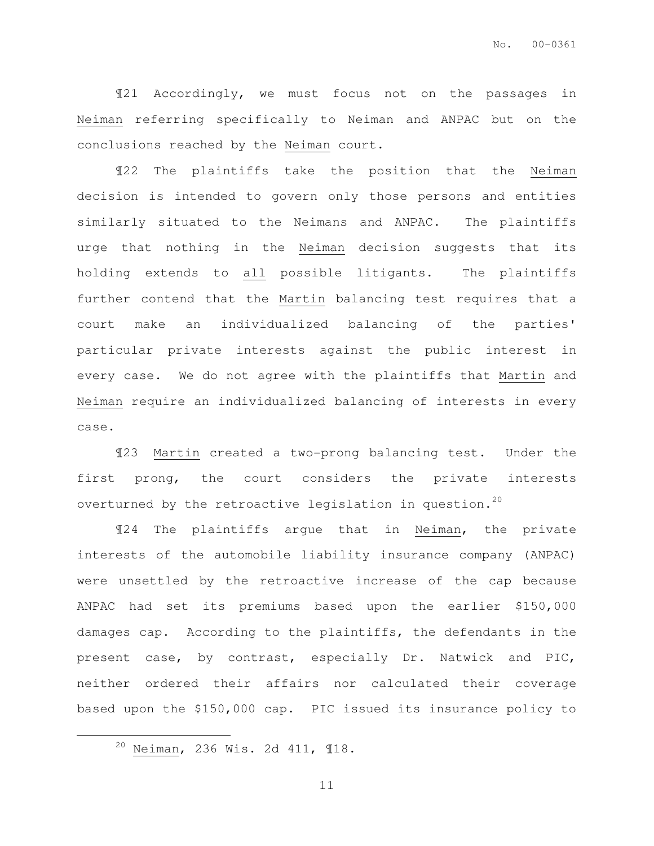¶21 Accordingly, we must focus not on the passages in Neiman referring specifically to Neiman and ANPAC but on the conclusions reached by the Neiman court.

¶22 The plaintiffs take the position that the Neiman decision is intended to govern only those persons and entities similarly situated to the Neimans and ANPAC. The plaintiffs urge that nothing in the Neiman decision suggests that its holding extends to all possible litigants. The plaintiffs further contend that the Martin balancing test requires that a court make an individualized balancing of the parties' particular private interests against the public interest in every case. We do not agree with the plaintiffs that Martin and Neiman require an individualized balancing of interests in every case.

¶23 Martin created a two-prong balancing test. Under the first prong, the court considers the private interests overturned by the retroactive legislation in question.<sup>20</sup>

¶24 The plaintiffs argue that in Neiman, the private interests of the automobile liability insurance company (ANPAC) were unsettled by the retroactive increase of the cap because ANPAC had set its premiums based upon the earlier \$150,000 damages cap. According to the plaintiffs, the defendants in the present case, by contrast, especially Dr. Natwick and PIC, neither ordered their affairs nor calculated their coverage based upon the \$150,000 cap. PIC issued its insurance policy to

 $\overline{a}$ 

<sup>20</sup> Neiman, 236 Wis. 2d 411, ¶18.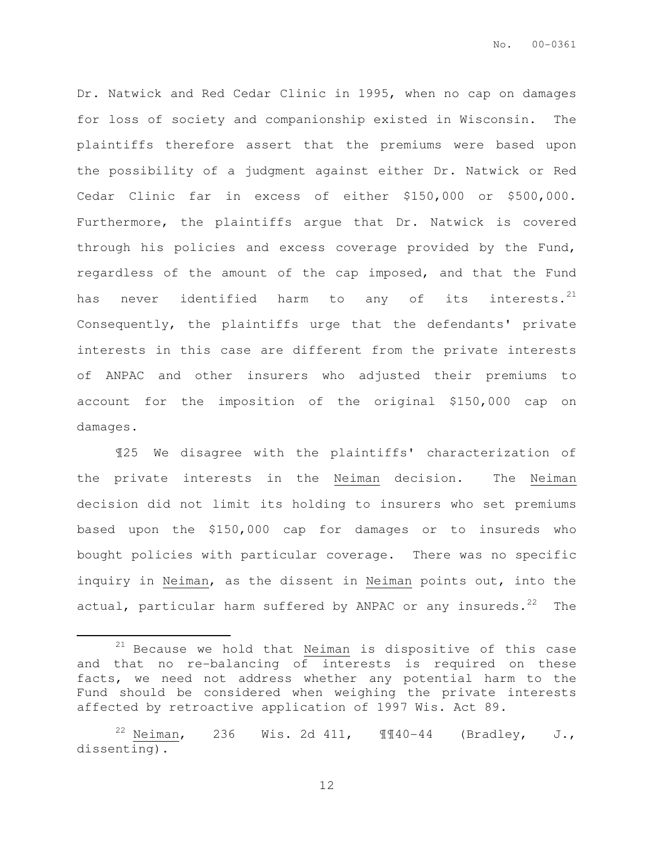Dr. Natwick and Red Cedar Clinic in 1995, when no cap on damages for loss of society and companionship existed in Wisconsin. The plaintiffs therefore assert that the premiums were based upon the possibility of a judgment against either Dr. Natwick or Red Cedar Clinic far in excess of either \$150,000 or \$500,000. Furthermore, the plaintiffs argue that Dr. Natwick is covered through his policies and excess coverage provided by the Fund, regardless of the amount of the cap imposed, and that the Fund has never identified harm to any of its interests. $^{21}$ Consequently, the plaintiffs urge that the defendants' private interests in this case are different from the private interests of ANPAC and other insurers who adjusted their premiums to account for the imposition of the original \$150,000 cap on damages.

¶25 We disagree with the plaintiffs' characterization of the private interests in the Neiman decision. The Neiman decision did not limit its holding to insurers who set premiums based upon the \$150,000 cap for damages or to insureds who bought policies with particular coverage. There was no specific inquiry in Neiman, as the dissent in Neiman points out, into the actual, particular harm suffered by ANPAC or any insureds.<sup>22</sup> The

 $\overline{a}$ 

 $21$  Because we hold that Ne $\frac{1}{2}$  is dispositive of this case and that no re-balancing of interests is required on these facts, we need not address whether any potential harm to the Fund should be considered when weighing the private interests affected by retroactive application of 1997 Wis. Act 89.

<sup>&</sup>lt;sup>22</sup> Neiman, 236 Wis. 2d 411,  $\P$  $\P$  $40-44$  (Bradley, J., dissenting).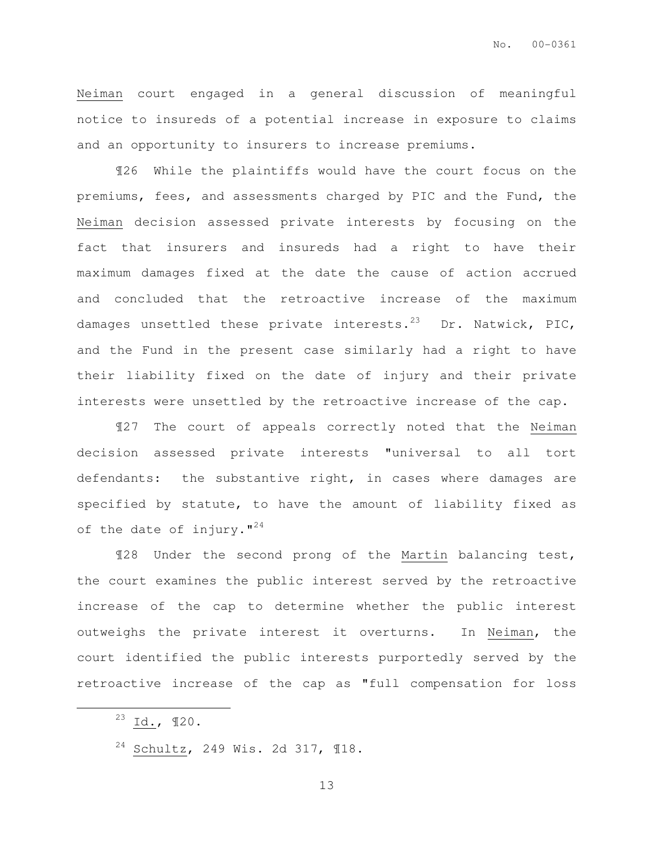Neiman court engaged in a general discussion of meaningful notice to insureds of a potential increase in exposure to claims and an opportunity to insurers to increase premiums.

¶26 While the plaintiffs would have the court focus on the premiums, fees, and assessments charged by PIC and the Fund, the Neiman decision assessed private interests by focusing on the fact that insurers and insureds had a right to have their maximum damages fixed at the date the cause of action accrued and concluded that the retroactive increase of the maximum damages unsettled these private interests.<sup>23</sup> Dr. Natwick, PIC, and the Fund in the present case similarly had a right to have their liability fixed on the date of injury and their private interests were unsettled by the retroactive increase of the cap.

¶27 The court of appeals correctly noted that the Neiman decision assessed private interests "universal to all tort defendants: the substantive right, in cases where damages are specified by statute, to have the amount of liability fixed as of the date of injury.  $I^{24}$ 

¶28 Under the second prong of the Martin balancing test, the court examines the public interest served by the retroactive increase of the cap to determine whether the public interest outweighs the private interest it overturns. In Neiman, the court identified the public interests purportedly served by the retroactive increase of the cap as "full compensation for loss

 $\overline{a}$ 

 $23$  Id.,  $120$ .

<sup>24</sup> Schultz, 249 Wis. 2d 317, ¶18.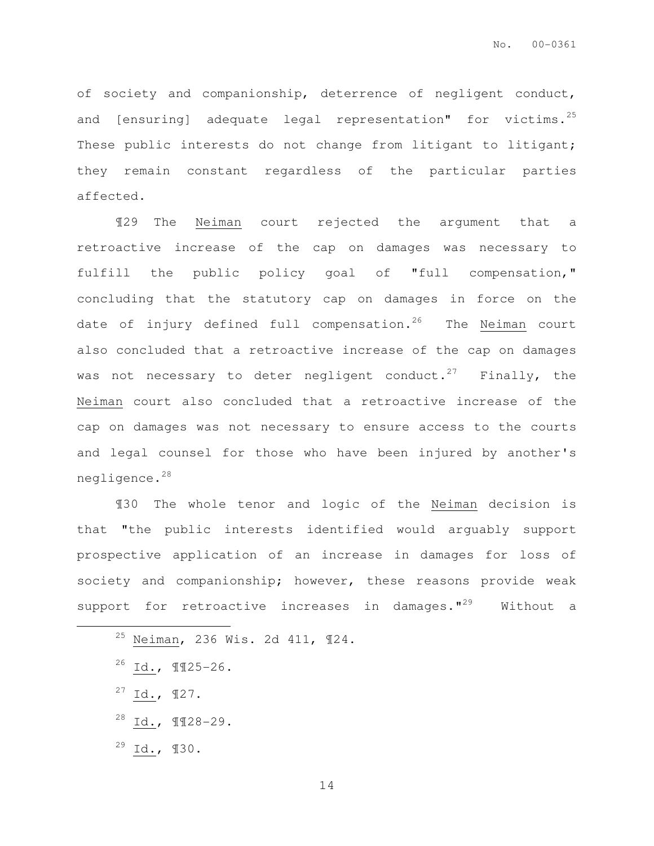of society and companionship, deterrence of negligent conduct, and [ensuring] adequate legal representation" for victims. $^{25}$ These public interests do not change from litigant to litigant; they remain constant regardless of the particular parties affected.

¶29 The Neiman court rejected the argument that a retroactive increase of the cap on damages was necessary to fulfill the public policy goal of "full compensation," concluding that the statutory cap on damages in force on the date of injury defined full compensation.<sup>26</sup> The Neiman court also concluded that a retroactive increase of the cap on damages was not necessary to deter negligent conduct.<sup>27</sup> Finally, the Neiman court also concluded that a retroactive increase of the cap on damages was not necessary to ensure access to the courts and legal counsel for those who have been injured by another's negligence.<sup>28</sup>

¶30 The whole tenor and logic of the Neiman decision is that "the public interests identified would arguably support prospective application of an increase in damages for loss of society and companionship; however, these reasons provide weak support for retroactive increases in damages. $1^{29}$  Without a

- $^{26}$  Id.,  $\P$  $I$ 25-26.
- $27$  Id.,  $\P$ 27.

 $\overline{a}$ 

- <sup>28</sup> Id., ¶¶28-29.
- $^{29}$  Id.,  $130$ .

<sup>25</sup> Neiman, 236 Wis. 2d 411, ¶24.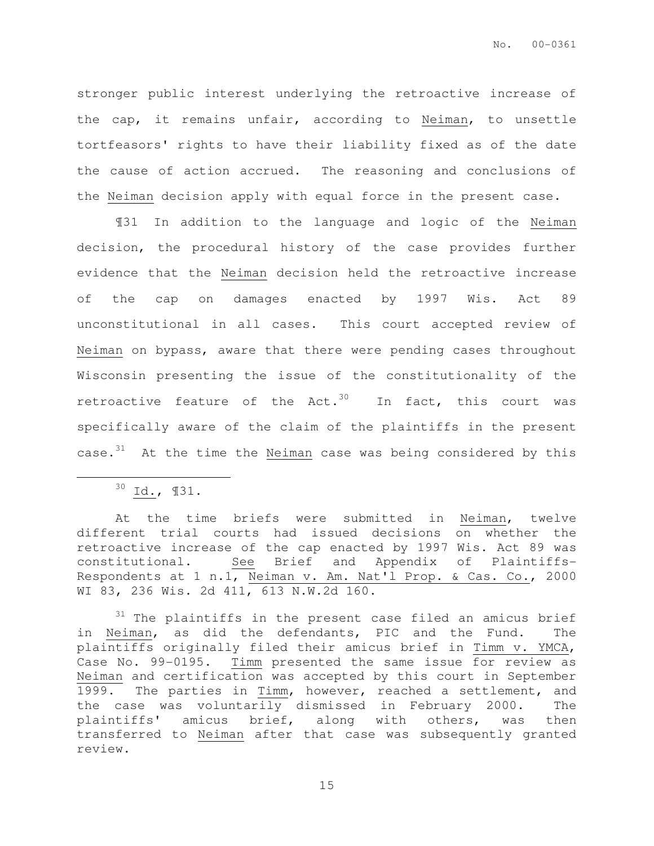stronger public interest underlying the retroactive increase of the cap, it remains unfair, according to Neiman, to unsettle tortfeasors' rights to have their liability fixed as of the date the cause of action accrued. The reasoning and conclusions of the Neiman decision apply with equal force in the present case.

¶31 In addition to the language and logic of the Neiman decision, the procedural history of the case provides further evidence that the Neiman decision held the retroactive increase of the cap on damages enacted by 1997 Wis. Act 89 unconstitutional in all cases. This court accepted review of Neiman on bypass, aware that there were pending cases throughout Wisconsin presenting the issue of the constitutionality of the retroactive feature of the Act.<sup>30</sup> In fact, this court was specifically aware of the claim of the plaintiffs in the present case. $31$  At the time the Neiman case was being considered by this

 $\overline{a}$ 

 $30$  Id.,  $131$ .

At the time briefs were submitted in Neiman, twelve different trial courts had issued decisions on whether the retroactive increase of the cap enacted by 1997 Wis. Act 89 was constitutional. See Brief and Appendix of Plaintiffs-Respondents at 1 n.1, Neiman v. Am. Nat'l Prop. & Cas. Co., 2000 WI 83, 236 Wis. 2d 411, 613 N.W.2d 160.

 $31$  The plaintiffs in the present case filed an amicus brief in Neiman, as did the defendants, PIC and the Fund. The plaintiffs originally filed their amicus brief in Timm v. YMCA, Case No. 99-0195. Timm presented the same issue for review as Neiman and certification was accepted by this court in September 1999. The parties in Timm, however, reached a settlement, and the case was voluntarily dismissed in February 2000. The plaintiffs' amicus brief, along with others, was then transferred to Neiman after that case was subsequently granted review.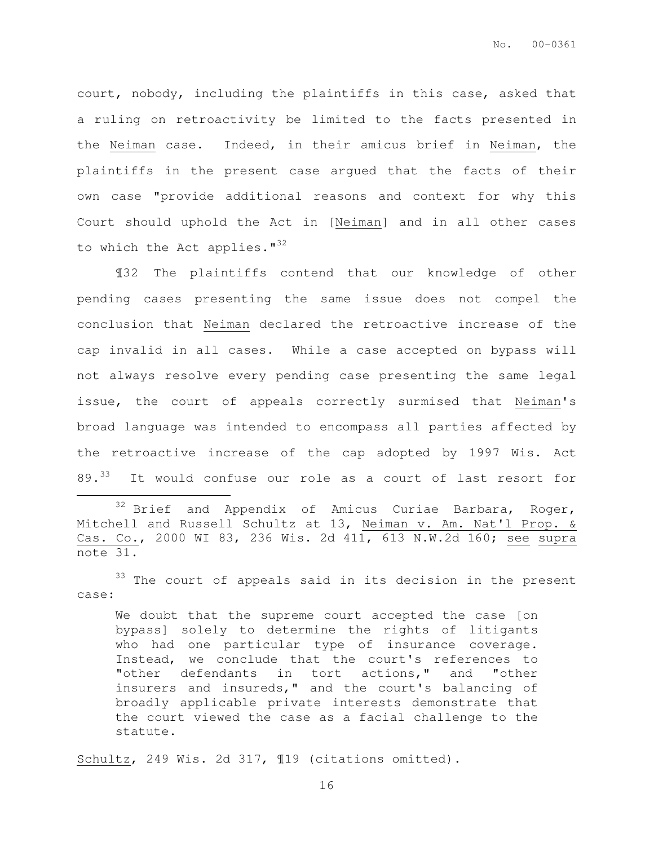court, nobody, including the plaintiffs in this case, asked that a ruling on retroactivity be limited to the facts presented in the Neiman case. Indeed, in their amicus brief in Neiman, the plaintiffs in the present case argued that the facts of their own case "provide additional reasons and context for why this Court should uphold the Act in [Neiman] and in all other cases to which the Act applies."<sup>32</sup>

¶32 The plaintiffs contend that our knowledge of other pending cases presenting the same issue does not compel the conclusion that Neiman declared the retroactive increase of the cap invalid in all cases. While a case accepted on bypass will not always resolve every pending case presenting the same legal issue, the court of appeals correctly surmised that Neiman's broad language was intended to encompass all parties affected by the retroactive increase of the cap adopted by 1997 Wis. Act 89.<sup>33</sup> It would confuse our role as a court of last resort for

<sup>33</sup> The court of appeals said in its decision in the present case:

We doubt that the supreme court accepted the case [on bypass] solely to determine the rights of litigants who had one particular type of insurance coverage. Instead, we conclude that the court's references to "other defendants in tort actions," and "other insurers and insureds," and the court's balancing of broadly applicable private interests demonstrate that the court viewed the case as a facial challenge to the statute.

Schultz, 249 Wis. 2d 317, ¶19 (citations omitted).

 $\overline{a}$ 

<sup>&</sup>lt;sup>32</sup> Brief and Appendix of Amicus Curiae Barbara, Roger, Mitchell and Russell Schultz at 13, Neiman v. Am. Nat'l Prop. & Cas. Co., 2000 WI 83, 236 Wis. 2d 411, 613 N.W.2d 160; see supra note 31.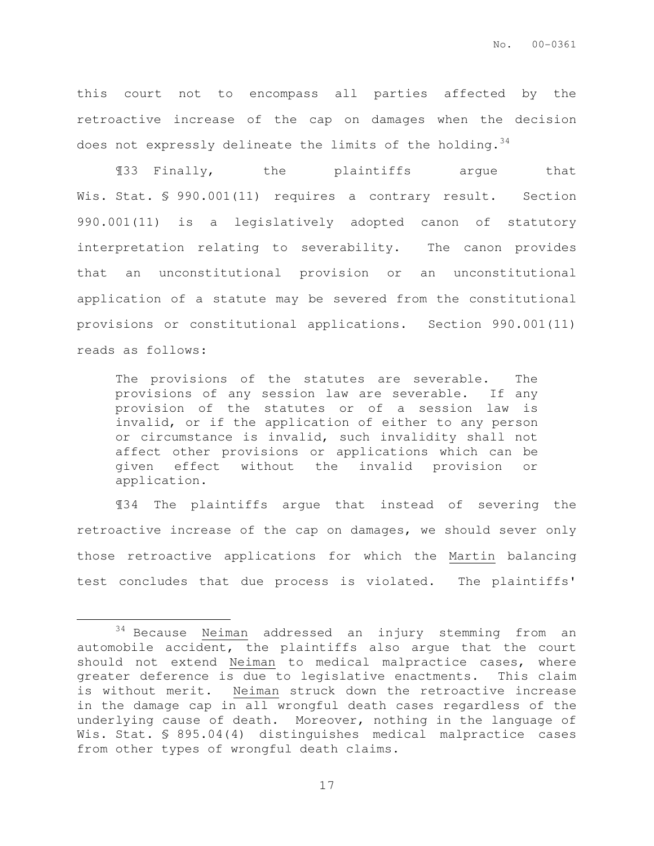this court not to encompass all parties affected by the retroactive increase of the cap on damages when the decision does not expressly delineate the limits of the holding.<sup>34</sup>

¶33 Finally, the plaintiffs argue that Wis. Stat. § 990.001(11) requires a contrary result. Section 990.001(11) is a legislatively adopted canon of statutory interpretation relating to severability. The canon provides that an unconstitutional provision or an unconstitutional application of a statute may be severed from the constitutional provisions or constitutional applications. Section 990.001(11) reads as follows:

The provisions of the statutes are severable. The provisions of any session law are severable. If any provision of the statutes or of a session law is invalid, or if the application of either to any person or circumstance is invalid, such invalidity shall not affect other provisions or applications which can be given effect without the invalid provision or application.

¶34 The plaintiffs argue that instead of severing the retroactive increase of the cap on damages, we should sever only those retroactive applications for which the Martin balancing test concludes that due process is violated. The plaintiffs'

 $\overline{a}$ 

<sup>&</sup>lt;sup>34</sup> Because Neiman addressed an injury stemming from an automobile accident, the plaintiffs also argue that the court should not extend Neiman to medical malpractice cases, where greater deference is due to legislative enactments. This claim is without merit. Neiman struck down the retroactive increase in the damage cap in all wrongful death cases regardless of the underlying cause of death. Moreover, nothing in the language of Wis. Stat. § 895.04(4) distinguishes medical malpractice cases from other types of wrongful death claims.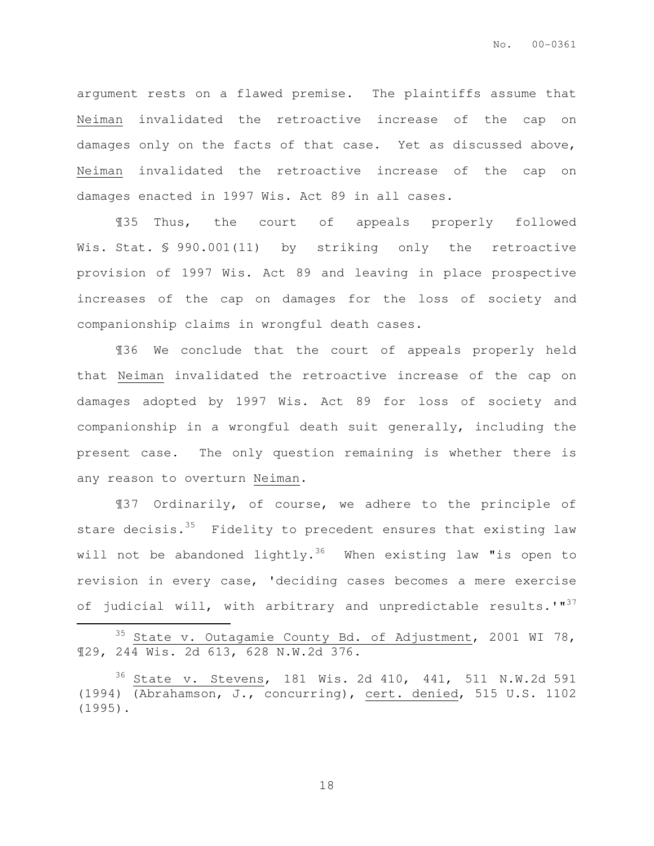argument rests on a flawed premise. The plaintiffs assume that Neiman invalidated the retroactive increase of the cap on damages only on the facts of that case. Yet as discussed above, Neiman invalidated the retroactive increase of the cap on damages enacted in 1997 Wis. Act 89 in all cases.

¶35 Thus, the court of appeals properly followed Wis. Stat. § 990.001(11) by striking only the retroactive provision of 1997 Wis. Act 89 and leaving in place prospective increases of the cap on damages for the loss of society and companionship claims in wrongful death cases.

¶36 We conclude that the court of appeals properly held that Neiman invalidated the retroactive increase of the cap on damages adopted by 1997 Wis. Act 89 for loss of society and companionship in a wrongful death suit generally, including the present case. The only question remaining is whether there is any reason to overturn Neiman.

¶37 Ordinarily, of course, we adhere to the principle of stare decisis. $35$  Fidelity to precedent ensures that existing law will not be abandoned lightly.<sup>36</sup> When existing law "is open to revision in every case, 'deciding cases becomes a mere exercise of judicial will, with arbitrary and unpredictable results.'"<sup>37</sup>

State v. Outagamie County Bd. of Adjustment, 2001 WI 78, ¶29, 244 Wis. 2d 613, 628 N.W.2d 376.

 $\overline{a}$ 

 $36$  State v. Stevens, 181 Wis. 2d 410, 441, 511 N.W.2d 591 (1994) (Abrahamson, J., concurring), cert. denied, 515 U.S. 1102 (1995).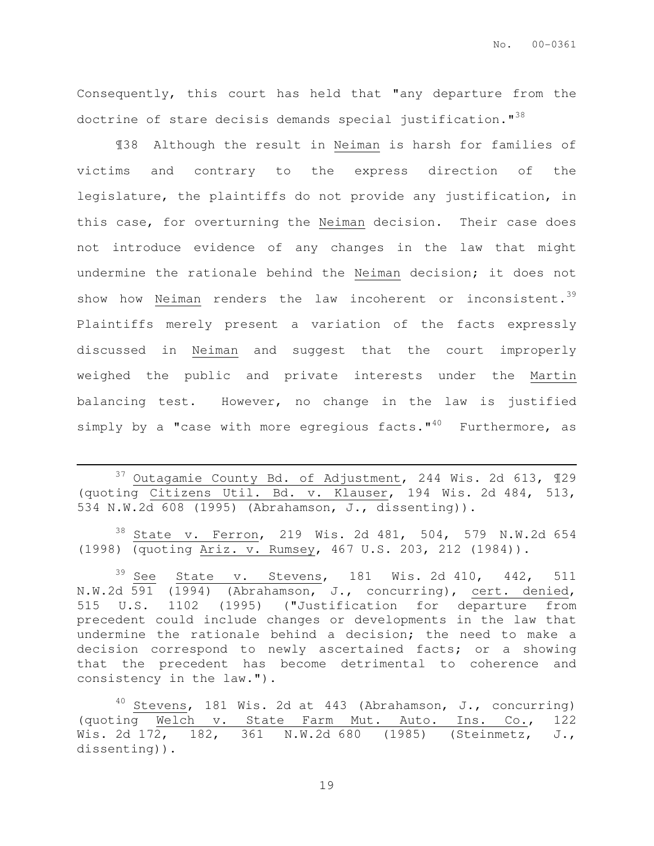Consequently, this court has held that "any departure from the doctrine of stare decisis demands special justification."<sup>38</sup>

¶38 Although the result in Neiman is harsh for families of victims and contrary to the express direction of the legislature, the plaintiffs do not provide any justification, in this case, for overturning the Neiman decision. Their case does not introduce evidence of any changes in the law that might undermine the rationale behind the Neiman decision; it does not show how Neiman renders the law incoherent or inconsistent.<sup>39</sup> Plaintiffs merely present a variation of the facts expressly discussed in Neiman and suggest that the court improperly weighed the public and private interests under the Martin balancing test. However, no change in the law is justified simply by a "case with more egregious facts." $40$  Furthermore, as

<sup>37</sup> Outagamie County Bd. of Adjustment, 244 Wis. 2d 613, ¶29 (quoting Citizens Util. Bd. v. Klauser, 194 Wis. 2d 484, 513, 534 N.W.2d 608 (1995) (Abrahamson, J., dissenting)).

 $\overline{a}$ 

<sup>38</sup> State v. Ferron, 219 Wis. 2d 481, 504, 579 N.W.2d 654 (1998) (quoting Ariz. v. Rumsey, 467 U.S. 203, 212 (1984)).

 $39$  See State v. Stevens, 181 Wis. 2d 410, 442, 511 N.W.2d 591 (1994) (Abrahamson, J., concurring), cert. denied, 515 U.S. 1102 (1995) ("Justification for departure from precedent could include changes or developments in the law that undermine the rationale behind a decision; the need to make a decision correspond to newly ascertained facts; or a showing that the precedent has become detrimental to coherence and consistency in the law.").

 $40$  Stevens, 181 Wis. 2d at 443 (Abrahamson, J., concurring) (quoting Welch v. State Farm Mut. Auto. Ins. Co., 122 Wis. 2d 172, 182, 361 N.W.2d 680 (1985) (Steinmetz, J., dissenting)).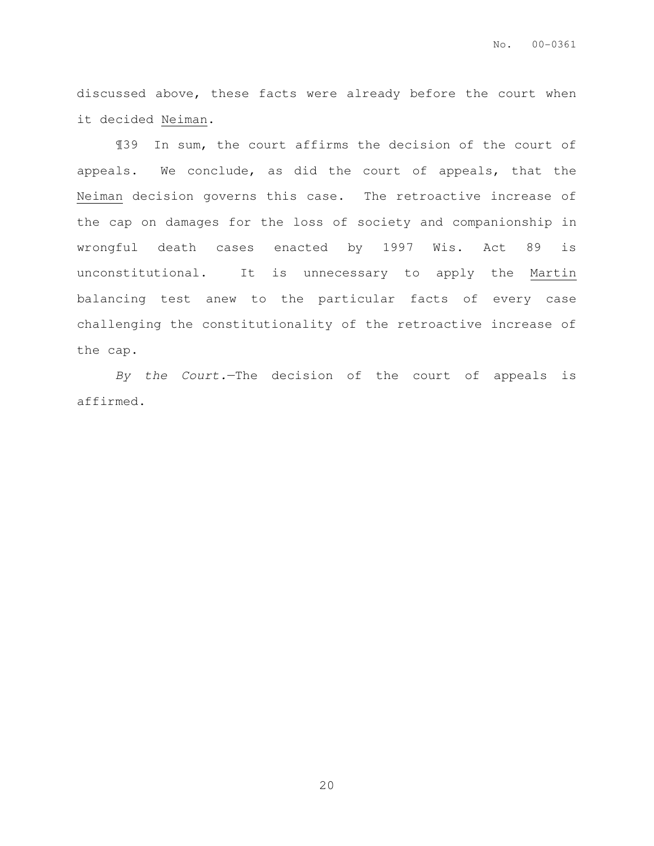discussed above, these facts were already before the court when it decided Neiman.

¶39 In sum, the court affirms the decision of the court of appeals. We conclude, as did the court of appeals, that the Neiman decision governs this case. The retroactive increase of the cap on damages for the loss of society and companionship in wrongful death cases enacted by 1997 Wis. Act 89 is unconstitutional. It is unnecessary to apply the Martin balancing test anew to the particular facts of every case challenging the constitutionality of the retroactive increase of the cap.

By the Court.—The decision of the court of appeals is affirmed.